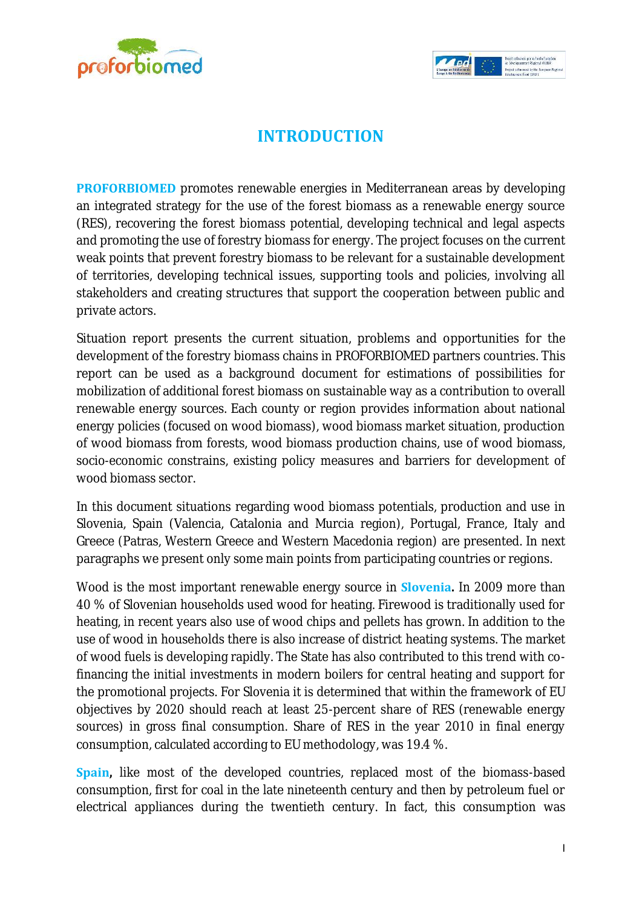



## **INTRODUCTION**

**PROFORBIOMED** promotes renewable energies in Mediterranean areas by developing an integrated strategy for the use of the forest biomass as a renewable energy source (RES), recovering the forest biomass potential, developing technical and legal aspects and promoting the use of forestry biomass for energy. The project focuses on the current weak points that prevent forestry biomass to be relevant for a sustainable development of territories, developing technical issues, supporting tools and policies, involving all stakeholders and creating structures that support the cooperation between public and private actors.

Situation report presents the current situation, problems and opportunities for the development of the forestry biomass chains in PROFORBIOMED partners countries. This report can be used as a background document for estimations of possibilities for mobilization of additional forest biomass on sustainable way as a contribution to overall renewable energy sources. Each county or region provides information about national energy policies (focused on wood biomass), wood biomass market situation, production of wood biomass from forests, wood biomass production chains, use of wood biomass, socio-economic constrains, existing policy measures and barriers for development of wood biomass sector.

In this document situations regarding wood biomass potentials, production and use in Slovenia, Spain (Valencia, Catalonia and Murcia region), Portugal, France, Italy and Greece (Patras, Western Greece and Western Macedonia region) are presented. In next paragraphs we present only some main points from participating countries or regions.

Wood is the most important renewable energy source in **Slovenia.** In 2009 more than 40 % of Slovenian households used wood for heating. Firewood is traditionally used for heating, in recent years also use of wood chips and pellets has grown. In addition to the use of wood in households there is also increase of district heating systems. The market of wood fuels is developing rapidly. The State has also contributed to this trend with cofinancing the initial investments in modern boilers for central heating and support for the promotional projects. For Slovenia it is determined that within the framework of EU objectives by 2020 should reach at least 25-percent share of RES (renewable energy sources) in gross final consumption. Share of RES in the year 2010 in final energy consumption, calculated according to EU methodology, was 19.4 %.

**Spain,** like most of the developed countries, replaced most of the biomass-based consumption, first for coal in the late nineteenth century and then by petroleum fuel or electrical appliances during the twentieth century. In fact, this consumption was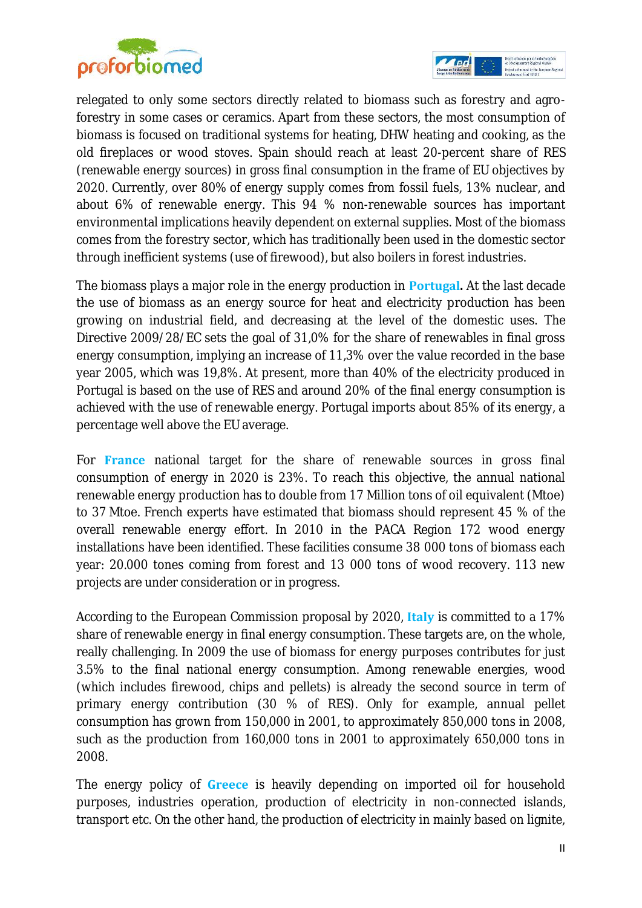



relegated to only some sectors directly related to biomass such as forestry and agroforestry in some cases or ceramics. Apart from these sectors, the most consumption of biomass is focused on traditional systems for heating, DHW heating and cooking, as the old fireplaces or wood stoves. Spain should reach at least 20-percent share of RES (renewable energy sources) in gross final consumption in the frame of EU objectives by 2020. Currently, over 80% of energy supply comes from fossil fuels, 13% nuclear, and about 6% of renewable energy. This 94 % non-renewable sources has important environmental implications heavily dependent on external supplies. Most of the biomass comes from the forestry sector, which has traditionally been used in the domestic sector through inefficient systems (use of firewood), but also boilers in forest industries.

The biomass plays a major role in the energy production in **Portugal.** At the last decade the use of biomass as an energy source for heat and electricity production has been growing on industrial field, and decreasing at the level of the domestic uses. The Directive 2009/28/EC sets the goal of 31,0% for the share of renewables in final gross energy consumption, implying an increase of 11,3% over the value recorded in the base year 2005, which was 19,8%. At present, more than 40% of the electricity produced in Portugal is based on the use of RES and around 20% of the final energy consumption is achieved with the use of renewable energy. Portugal imports about 85% of its energy, a percentage well above the EU average.

For **France** national target for the share of renewable sources in gross final consumption of energy in 2020 is 23%. To reach this objective, the annual national renewable energy production has to double from 17 Million tons of oil equivalent (Mtoe) to 37 Mtoe. French experts have estimated that biomass should represent 45 % of the overall renewable energy effort. In 2010 in the PACA Region 172 wood energy installations have been identified. These facilities consume 38 000 tons of biomass each year: 20.000 tones coming from forest and 13 000 tons of wood recovery. 113 new projects are under consideration or in progress.

According to the European Commission proposal by 2020, **Italy** is committed to a 17% share of renewable energy in final energy consumption. These targets are, on the whole, really challenging. In 2009 the use of biomass for energy purposes contributes for just 3.5% to the final national energy consumption. Among renewable energies, wood (which includes firewood, chips and pellets) is already the second source in term of primary energy contribution (30 % of RES). Only for example, annual pellet consumption has grown from 150,000 in 2001, to approximately 850,000 tons in 2008, such as the production from 160,000 tons in 2001 to approximately 650,000 tons in 2008.

The energy policy of **Greece** is heavily depending on imported oil for household purposes, industries operation, production of electricity in non-connected islands, transport etc. On the other hand, the production of electricity in mainly based on lignite,